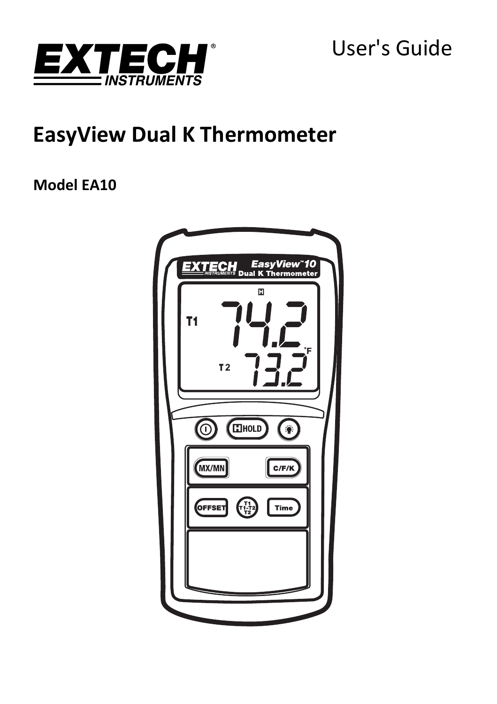

User's Guide

# **EasyView Dual K Thermometer**

**Model EA10**

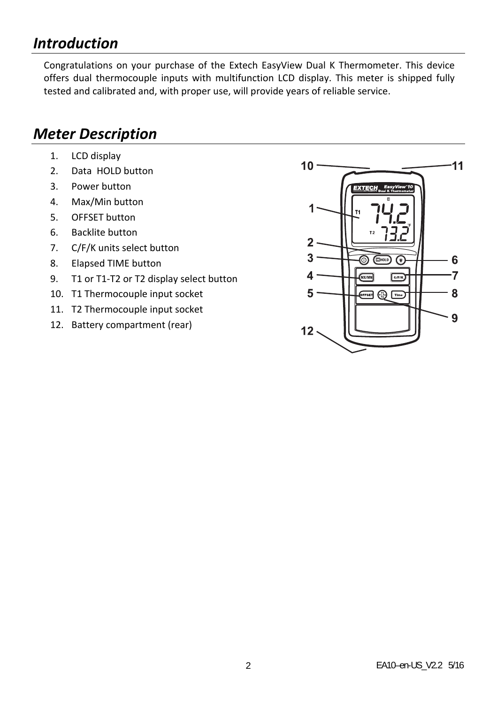# *Introduction*

Congratulations on your purchase of the Extech EasyView Dual K Thermometer. This device offers dual thermocouple inputs with multifunction LCD display. This meter is shipped fully tested and calibrated and, with proper use, will provide years of reliable service.

# *Meter Description*

- 1. LCD display
- 2. Data HOLD button
- 3. Power button
- 4. Max/Min button
- 5. OFFSET button
- 6. Backlite button
- 7. C/F/K units select button
- 8. Elapsed TIME button
- 9. T1 or T1-T2 or T2 display select button
- 10. T1 Thermocouple input socket
- 11. T2 Thermocouple input socket
- 12. Battery compartment (rear)

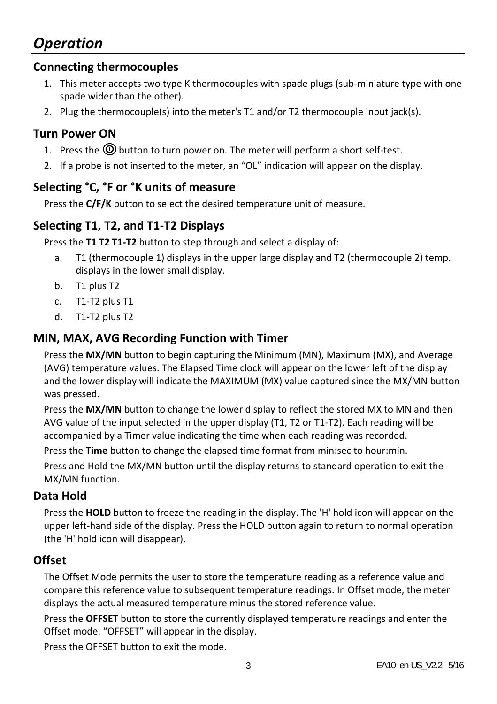# *Operation*

### **Connecting thermocouples**

- 1. This meter accepts two type K thermocouples with spade plugs (sub‐miniature type with one spade wider than the other).
- 2. Plug the thermocouple(s) into the meter's T1 and/or T2 thermocouple input jack(s).

### **Turn Power ON**

- 1. Press the  $\circledR$  button to turn power on. The meter will perform a short self-test.
- 2. If a probe is not inserted to the meter, an "OL" indication will appear on the display.

### **Selecting °C, °F or °K units of measure**

Press the **C/F/K** button to select the desired temperature unit of measure.

# **Selecting T1, T2, and T1‐T2 Displays**

Press the **T1 T2 T1‐T2** button to step through and select a display of:

- a. T1 (thermocouple 1) displays in the upper large display and T2 (thermocouple 2) temp. displays in the lower small display.
- b. T1 plus T2
- c. T1‐T2 plus T1
- d. T1‐T2 plus T2

### **MIN, MAX, AVG Recording Function with Timer**

Press the **MX/MN** button to begin capturing the Minimum (MN), Maximum (MX), and Average (AVG) temperature values. The Elapsed Time clock will appear on the lower left of the display and the lower display will indicate the MAXIMUM (MX) value captured since the MX/MN button was pressed.

Press the **MX/MN** button to change the lower display to reflect the stored MX to MN and then AVG value of the input selected in the upper display (T1, T2 or T1‐T2). Each reading will be accompanied by a Timer value indicating the time when each reading was recorded.

Press the **Time** button to change the elapsed time format from min:sec to hour:min.

Press and Hold the MX/MN button until the display returns to standard operation to exit the MX/MN function.

### **Data Hold**

Press the **HOLD** button to freeze the reading in the display. The 'H' hold icon will appear on the upper left-hand side of the display. Press the HOLD button again to return to normal operation (the 'H' hold icon will disappear).

### **Offset**

The Offset Mode permits the user to store the temperature reading as a reference value and compare this reference value to subsequent temperature readings. In Offset mode, the meter displays the actual measured temperature minus the stored reference value.

Press the **OFFSET** button to store the currently displayed temperature readings and enter the Offset mode. "OFFSET" will appear in the display.

Press the OFFSET button to exit the mode.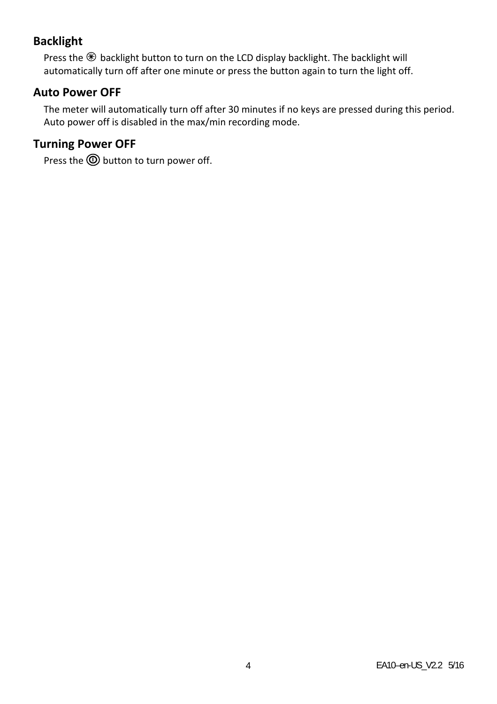# **Backlight**

Press the  $\circledast$  backlight button to turn on the LCD display backlight. The backlight will automatically turn off after one minute or press the button again to turn the light off.

### **Auto Power OFF**

The meter will automatically turn off after 30 minutes if no keys are pressed during this period. Auto power off is disabled in the max/min recording mode.

# **Turning Power OFF**

Press the  $\textcircled{D}$  button to turn power off.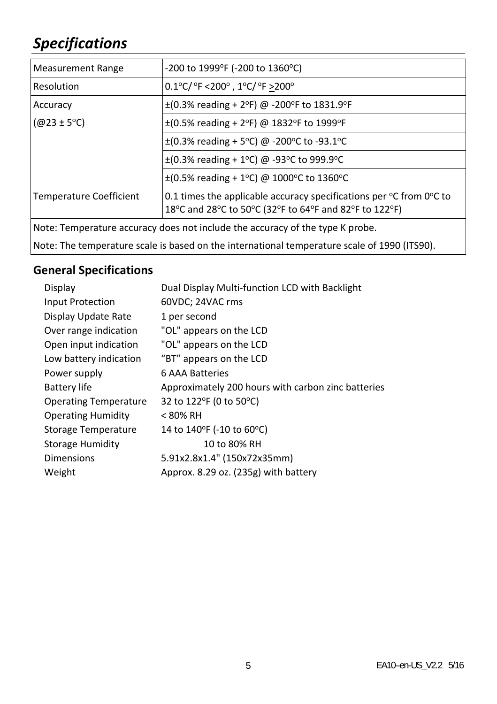# *Specifications*

| <b>Measurement Range</b>                                                      | -200 to 1999°F (-200 to 1360°C)                                                                                                                 |
|-------------------------------------------------------------------------------|-------------------------------------------------------------------------------------------------------------------------------------------------|
| Resolution                                                                    | $0.1^{\circ}$ C/ $^{\circ}$ F <200 $^{\circ}$ , 1 $^{\circ}$ C/ $^{\circ}$ F >200 $^{\circ}$                                                    |
| Accuracy                                                                      | $\pm$ (0.3% reading + 2°F) @ -200°F to 1831.9°F                                                                                                 |
| $(@23 \pm 5°C)$                                                               | $\pm$ (0.5% reading + 2°F) @ 1832°F to 1999°F                                                                                                   |
|                                                                               | $\pm$ (0.3% reading + 5°C) @ -200°C to -93.1°C                                                                                                  |
|                                                                               | $\pm$ (0.3% reading + 1°C) @ -93°C to 999.9°C                                                                                                   |
|                                                                               | $\pm$ (0.5% reading + 1°C) @ 1000°C to 1360°C                                                                                                   |
| <b>Temperature Coefficient</b>                                                | 0.1 times the applicable accuracy specifications per $\degree$ C from $0\degree$ C to<br>18°C and 28°C to 50°C (32°F to 64°F and 82°F to 122°F) |
| Note: Temperature accuracy does not include the accuracy of the type K probe. |                                                                                                                                                 |

Note: The temperature scale is based on the international temperature scale of 1990 (ITS90).

# **General Specifications**

| Dual Display Multi-function LCD with Backlight     |
|----------------------------------------------------|
| 60VDC; 24VAC rms                                   |
| 1 per second                                       |
| "OL" appears on the LCD                            |
| "OL" appears on the LCD                            |
| "BT" appears on the LCD                            |
| 6 AAA Batteries                                    |
| Approximately 200 hours with carbon zinc batteries |
| 32 to 122°F (0 to 50°C)                            |
| < 80% RH                                           |
| 14 to 140°F (-10 to 60°C)                          |
| 10 to 80% RH                                       |
| 5.91x2.8x1.4" (150x72x35mm)                        |
| Approx. 8.29 oz. (235g) with battery               |
|                                                    |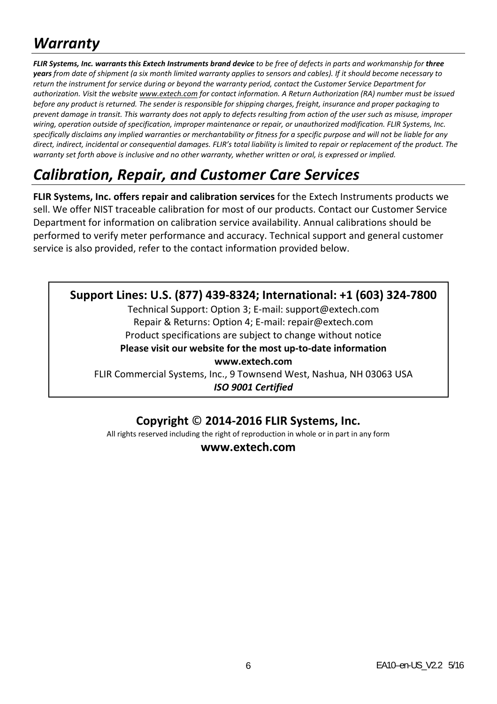# *Warranty*

FLIR Systems, Inc. warrants this Extech Instruments brand device to be free of defects in parts and workmanship for three years from date of shipment (a six month limited warranty applies to sensors and cables). If it should become necessary to return the instrument for service during or beyond the warranty period, contact the Customer Service Department for authorization. Visit the website www.extech.com for contact information. A Return Authorization (RA) number must be issued before any product is returned. The sender is responsible for shipping charges, freight, insurance and proper packaging to prevent damage in transit. This warranty does not apply to defects resulting from action of the user such as misuse, improper wiring, operation outside of specification, improper maintenance or repair, or unauthorized modification. FLIR Systems, Inc. specifically disclaims any implied warranties or merchantability or fitness for a specific purpose and will not be liable for any direct, indirect, incidental or consequential damages. FLIR's total liability is limited to repair or replacement of the product. The warranty set forth above is inclusive and no other warranty, whether written or oral, is expressed or implied,

# *Calibration, Repair, and Customer Care Services*

**FLIR Systems, Inc. offers repair and calibration services** for the Extech Instruments products we sell. We offer NIST traceable calibration for most of our products. Contact our Customer Service Department for information on calibration service availability. Annual calibrations should be performed to verify meter performance and accuracy. Technical support and general customer service is also provided, refer to the contact information provided below.

### **Support Lines: U.S. (877) 439‐8324; International: +1 (603) 324‐7800**

Technical Support: Option 3; E‐mail: support@extech.com Repair & Returns: Option 4; E‐mail: repair@extech.com Product specifications are subject to change without notice

**Please visit our website for the most up‐to‐date information**

**www.extech.com**

FLIR Commercial Systems, Inc., 9 Townsend West, Nashua, NH 03063 USA *ISO 9001 Certified*

# **Copyright** © **2014‐2016 FLIR Systems, Inc.**

All rights reserved including the right of reproduction in whole or in part in any form

**www.extech.com**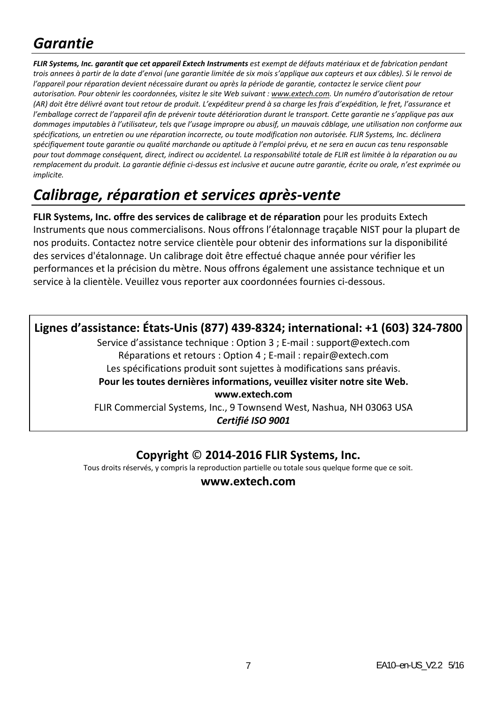# *Garantie*

FLIR Systems, Inc. garantit que cet appareil Extech Instruments est exempt de défauts matériaux et de fabrication pendant trois annees à partir de la date d'envoi (une garantie limitée de six mois s'applique aux capteurs et aux câbles). Si le renvoi de l'appareil pour réparation devient nécessaire durant ou après la période de garantie, contactez le service client pour autorisation. Pour obtenir les coordonnées, visitez le site Web suivant : www.extech.com. Un numéro d'autorisation de retour (AR) doit être délivré avant tout retour de produit. L'expéditeur prend à sa charge les frais d'expédition, le fret, l'assurance et l'emballage correct de l'appareil afin de prévenir toute détérioration durant le transport. Cette agrantie ne s'applique pas aux dommages imputables à l'utilisateur, tels que l'usage impropre ou abusif, un mauvais câblage, une utilisation non conforme aux spécifications, un entretien ou une réparation incorrecte, ou toute modification non autorisée. FLIR Systems, Inc. déclinera spécifiquement toute garantie ou qualité marchande ou aptitude à l'emploi prévu, et ne sera en aucun cas tenu responsable pour tout dommage conséquent, direct, indirect ou accidentel. La responsabilité totale de FLIR est limitée à la réparation ou qu remplacement du produit. La garantie définie ci-dessus est inclusive et aucune autre garantie, écrite ou orale, n'est exprimée ou *implicite.*

# *Calibrage, réparation et services après‐vente*

**FLIR Systems, Inc. offre des services de calibrage et de réparation** pour les produits Extech Instruments que nous commercialisons. Nous offrons l'étalonnage traçable NIST pour la plupart de nos produits. Contactez notre service clientèle pour obtenir des informations sur la disponibilité des services d'étalonnage. Un calibrage doit être effectué chaque année pour vérifier les performances et la précision du mètre. Nous offrons également une assistance technique et un service à la clientèle. Veuillez vous reporter aux coordonnées fournies ci‐dessous.

# **Lignes d'assistance: États‐Unis (877) 439‐8324; international: +1 (603) 324‐7800**

Service d'assistance technique : Option 3 ; E‐mail : support@extech.com Réparations et retours : Option 4 ; E‐mail : repair@extech.com Les spécifications produit sont sujettes à modifications sans préavis. **Pour les toutes dernières informations, veuillez visiter notre site Web. www.extech.com**

FLIR Commercial Systems, Inc., 9 Townsend West, Nashua, NH 03063 USA *Certifié ISO 9001*

# **Copyright** © **2014‐2016 FLIR Systems, Inc.**

Tous droits réservés, y compris la reproduction partielle ou totale sous quelque forme que ce soit.

#### **www.extech.com**